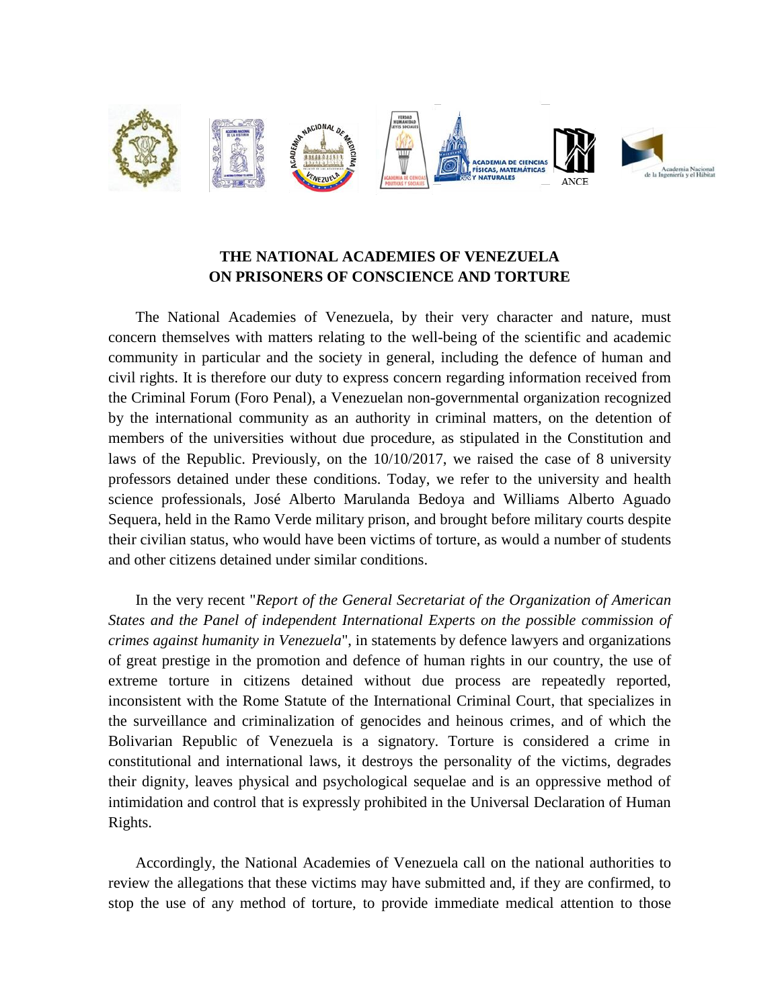

## **THE NATIONAL ACADEMIES OF VENEZUELA ON PRISONERS OF CONSCIENCE AND TORTURE**

The National Academies of Venezuela, by their very character and nature, must concern themselves with matters relating to the well-being of the scientific and academic community in particular and the society in general, including the defence of human and civil rights. It is therefore our duty to express concern regarding information received from the Criminal Forum (Foro Penal), a Venezuelan non-governmental organization recognized by the international community as an authority in criminal matters, on the detention of members of the universities without due procedure, as stipulated in the Constitution and laws of the Republic. Previously, on the 10/10/2017, we raised the case of 8 university professors detained under these conditions. Today, we refer to the university and health science professionals, José Alberto Marulanda Bedoya and Williams Alberto Aguado Sequera, held in the Ramo Verde military prison, and brought before military courts despite their civilian status, who would have been victims of torture, as would a number of students and other citizens detained under similar conditions.

In the very recent "*Report of the General Secretariat of the Organization of American States and the Panel of independent International Experts on the possible commission of crimes against humanity in Venezuela*", in statements by defence lawyers and organizations of great prestige in the promotion and defence of human rights in our country, the use of extreme torture in citizens detained without due process are repeatedly reported, inconsistent with the Rome Statute of the International Criminal Court, that specializes in the surveillance and criminalization of genocides and heinous crimes, and of which the Bolivarian Republic of Venezuela is a signatory. Torture is considered a crime in constitutional and international laws, it destroys the personality of the victims, degrades their dignity, leaves physical and psychological sequelae and is an oppressive method of intimidation and control that is expressly prohibited in the Universal Declaration of Human Rights.

Accordingly, the National Academies of Venezuela call on the national authorities to review the allegations that these victims may have submitted and, if they are confirmed, to stop the use of any method of torture, to provide immediate medical attention to those